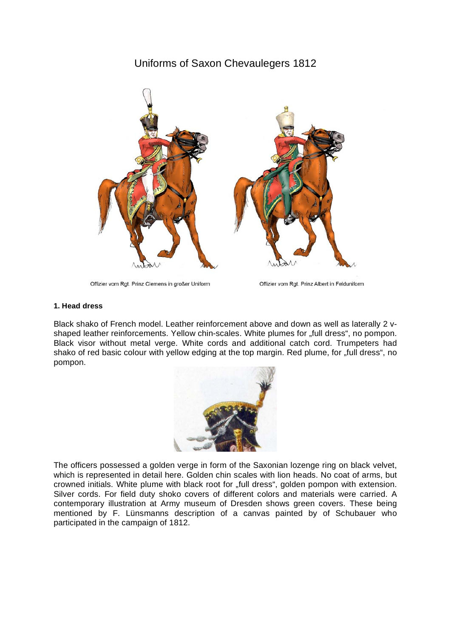# Uniforms of Saxon Chevaulegers 1812



Offizier vom Rgt. Prinz Clemens in großer Uniform

Offizier vom Rgt. Prinz Albert in Felduniform

### **1. Head dress**

Black shako of French model. Leather reinforcement above and down as well as laterally 2 vshaped leather reinforcements. Yellow chin-scales. White plumes for "full dress", no pompon. Black visor without metal verge. White cords and additional catch cord. Trumpeters had shako of red basic colour with yellow edging at the top margin. Red plume, for "full dress", no pompon.



The officers possessed a golden verge in form of the Saxonian lozenge ring on black velvet, which is represented in detail here. Golden chin scales with lion heads. No coat of arms, but crowned initials. White plume with black root for "full dress", golden pompon with extension. Silver cords. For field duty shoko covers of different colors and materials were carried. A contemporary illustration at Army museum of Dresden shows green covers. These being mentioned by F. Lünsmanns description of a canvas painted by of Schubauer who participated in the campaign of 1812.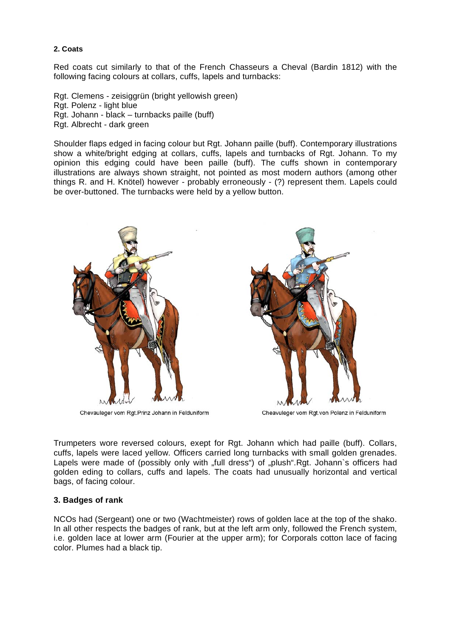## **2. Coats**

Red coats cut similarly to that of the French Chasseurs a Cheval (Bardin 1812) with the following facing colours at collars, cuffs, lapels and turnbacks:

Rgt. Clemens - zeisiggrün (bright yellowish green) Rgt. Polenz - light blue Rgt. Johann - black – turnbacks paille (buff) Rgt. Albrecht - dark green

Shoulder flaps edged in facing colour but Rgt. Johann paille (buff). Contemporary illustrations show a white/bright edging at collars, cuffs, lapels and turnbacks of Rgt. Johann. To my opinion this edging could have been paille (buff). The cuffs shown in contemporary illustrations are always shown straight, not pointed as most modern authors (among other things R. and H. Knötel) however - probably erroneously - (?) represent them. Lapels could be over-buttoned. The turnbacks were held by a yellow button.



Chevauleger vom Rgt.Prinz Johann in Felduniform

Cheavuleger vom Rgt.von Polenz in Felduniform

Trumpeters wore reversed colours, exept for Rgt. Johann which had paille (buff). Collars, cuffs, lapels were laced yellow. Officers carried long turnbacks with small golden grenades. Lapels were made of (possibly only with "full dress") of "plush".Rgt. Johann's officers had golden eding to collars, cuffs and lapels. The coats had unusually horizontal and vertical bags, of facing colour.

## **3. Badges of rank**

NCOs had (Sergeant) one or two (Wachtmeister) rows of golden lace at the top of the shako. In all other respects the badges of rank, but at the left arm only, followed the French system, i.e. golden lace at lower arm (Fourier at the upper arm); for Corporals cotton lace of facing color. Plumes had a black tip.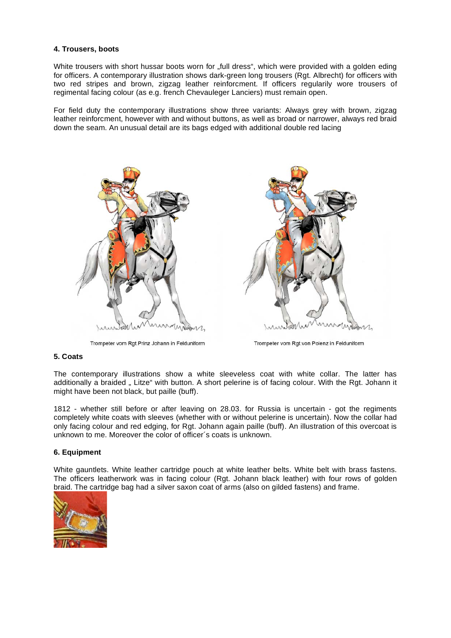#### **4. Trousers, boots**

White trousers with short hussar boots worn for "full dress", which were provided with a golden eding for officers. A contemporary illustration shows dark-green long trousers (Rgt. Albrecht) for officers with two red stripes and brown, zigzag leather reinforcment. If officers regularily wore trousers of regimental facing colour (as e.g. french Chevauleger Lanciers) must remain open.

For field duty the contemporary illustrations show three variants: Always grey with brown, zigzag leather reinforcment, however with and without buttons, as well as broad or narrower, always red braid down the seam. An unusual detail are its bags edged with additional double red lacing



Trompeter vom Rgt.Prinz Johann in Felduniform



Trompeter vom Rgt.von Polenz in Felduniform

#### **5. Coats**

The contemporary illustrations show a white sleeveless coat with white collar. The latter has additionally a braided "Litze" with button. A short pelerine is of facing colour. With the Rgt. Johann it might have been not black, but paille (buff).

1812 - whether still before or after leaving on 28.03. for Russia is uncertain - got the regiments completely white coats with sleeves (whether with or without pelerine is uncertain). Now the collar had only facing colour and red edging, for Rgt. Johann again paille (buff). An illustration of this overcoat is unknown to me. Moreover the color of officer´s coats is unknown.

## **6. Equipment**

White gauntlets. White leather cartridge pouch at white leather belts. White belt with brass fastens. The officers leatherwork was in facing colour (Rgt. Johann black leather) with four rows of golden braid. The cartridge bag had a silver saxon coat of arms (also on gilded fastens) and frame.

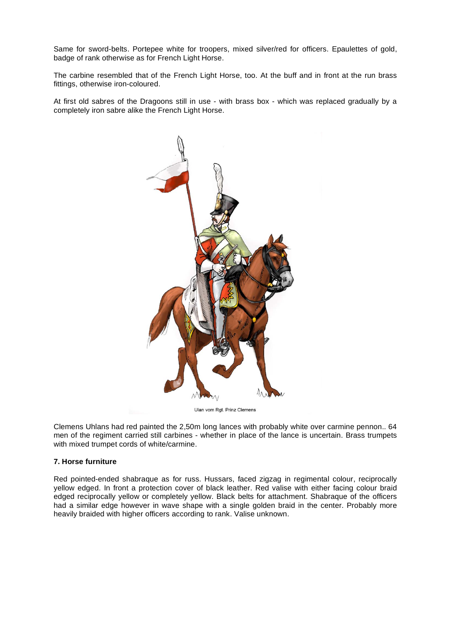Same for sword-belts. Portepee white for troopers, mixed silver/red for officers. Epaulettes of gold, badge of rank otherwise as for French Light Horse.

The carbine resembled that of the French Light Horse, too. At the buff and in front at the run brass fittings, otherwise iron-coloured.

At first old sabres of the Dragoons still in use - with brass box - which was replaced gradually by a completely iron sabre alike the French Light Horse.



Ulan vom Rgt. Prinz Clemens

Clemens Uhlans had red painted the 2,50m long lances with probably white over carmine pennon.. 64 men of the regiment carried still carbines - whether in place of the lance is uncertain. Brass trumpets with mixed trumpet cords of white/carmine.

#### **7. Horse furniture**

Red pointed-ended shabraque as for russ. Hussars, faced zigzag in regimental colour, reciprocally yellow edged. In front a protection cover of black leather. Red valise with either facing colour braid edged reciprocally yellow or completely yellow. Black belts for attachment. Shabraque of the officers had a similar edge however in wave shape with a single golden braid in the center. Probably more heavily braided with higher officers according to rank. Valise unknown.